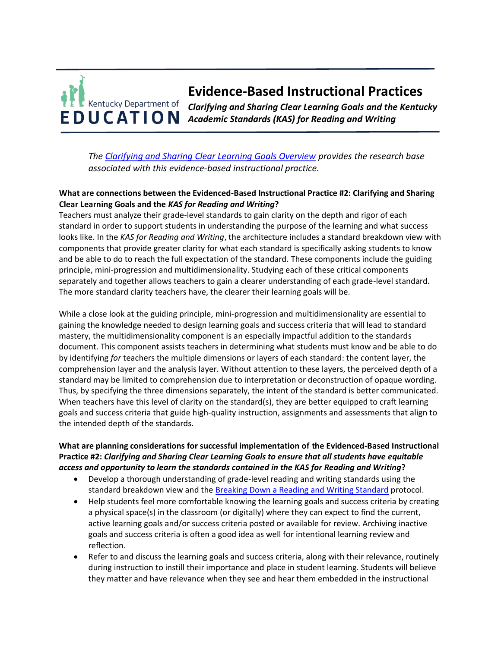# **Evidence-Based Instructional Practices**  Kentucky Department of *Clarifying and Sharing Clear Learning Goals and the Kentucky Academic Standards (KAS) for Reading and Writing*

*The [Clarifying and Sharing Clear Learning Goals Overview](https://education.ky.gov/curriculum/standards/kyacadstand/Documents/EBIP_2_Clarifying_and_Sharing_Clear_Learning_Goals.pdf) provides the research base associated with this evidence-based instructional practice.*

#### **What are connections between the Evidenced-Based Instructional Practice #2: Clarifying and Sharing Clear Learning Goals and the** *KAS for Reading and Writing***?**

Teachers must analyze their grade-level standards to gain clarity on the depth and rigor of each standard in order to support students in understanding the purpose of the learning and what success looks like. In the *KAS for Reading and Writing*, the architecture includes a standard breakdown view with components that provide greater clarity for what each standard is specifically asking students to know and be able to do to reach the full expectation of the standard. These components include the guiding principle, mini-progression and multidimensionality. Studying each of these critical components separately and together allows teachers to gain a clearer understanding of each grade-level standard. The more standard clarity teachers have, the clearer their learning goals will be.

While a close look at the guiding principle, mini-progression and multidimensionality are essential to gaining the knowledge needed to design learning goals and success criteria that will lead to standard mastery, the multidimensionality component is an especially impactful addition to the standards document. This component assists teachers in determining what students must know and be able to do by identifying *for* teachers the multiple dimensions or layers of each standard: the content layer, the comprehension layer and the analysis layer. Without attention to these layers, the perceived depth of a standard may be limited to comprehension due to interpretation or deconstruction of opaque wording. Thus, by specifying the three dimensions separately, the intent of the standard is better communicated. When teachers have this level of clarity on the standard(s), they are better equipped to craft learning goals and success criteria that guide high-quality instruction, assignments and assessments that align to the intended depth of the standards.

## **What are planning considerations for successful implementation of the Evidenced-Based Instructional Practice #2:** *Clarifying and Sharing Clear Learning Goals to ensure that all students have equitable access and opportunity to learn the standards contained in the KAS for Reading and Writing***?**

- Develop a thorough understanding of grade-level reading and writing standards using the standard breakdown view and the [Breaking Down a Reading and Writing Standard](https://education.ky.gov/curriculum/standards/kyacadstand/Documents/Breaking_Down_a_Reading_and_Writing_Standard.pdf) protocol.
- Help students feel more comfortable knowing the learning goals and success criteria by creating a physical space(s) in the classroom (or digitally) where they can expect to find the current, active learning goals and/or success criteria posted or available for review. Archiving inactive goals and success criteria is often a good idea as well for intentional learning review and reflection.
- Refer to and discuss the learning goals and success criteria, along with their relevance, routinely during instruction to instill their importance and place in student learning. Students will believe they matter and have relevance when they see and hear them embedded in the instructional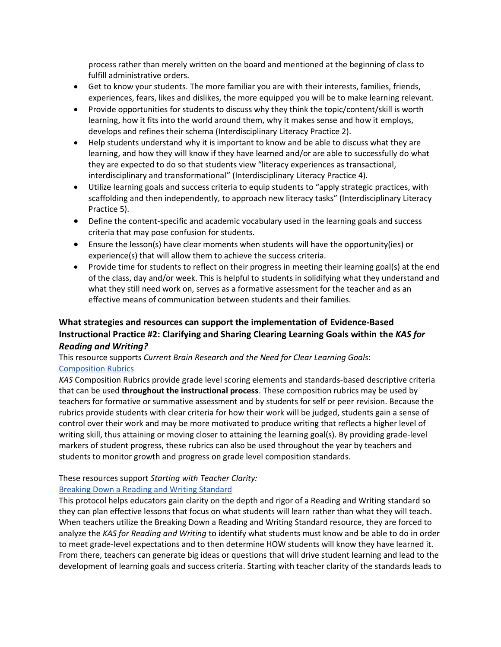process rather than merely written on the board and mentioned at the beginning of class to fulfill administrative orders.

- Get to know your students. The more familiar you are with their interests, families, friends, experiences, fears, likes and dislikes, the more equipped you will be to make learning relevant.
- Provide opportunities for students to discuss why they think the topic/content/skill is worth learning, how it fits into the world around them, why it makes sense and how it employs, develops and refines their schema (Interdisciplinary Literacy Practice 2).
- Help students understand why it is important to know and be able to discuss what they are learning, and how they will know if they have learned and/or are able to successfully do what they are expected to do so that students view "literacy experiences as transactional, interdisciplinary and transformational" (Interdisciplinary Literacy Practice 4).
- Utilize learning goals and success criteria to equip students to "apply strategic practices, with scaffolding and then independently, to approach new literacy tasks" (Interdisciplinary Literacy Practice 5).
- Define the content-specific and academic vocabulary used in the learning goals and success criteria that may pose confusion for students.
- Ensure the lesson(s) have clear moments when students will have the opportunity(ies) or experience(s) that will allow them to achieve the success criteria.
- Provide time for students to reflect on their progress in meeting their learning goal(s) at the end of the class, day and/or week. This is helpful to students in solidifying what they understand and what they still need work on, serves as a formative assessment for the teacher and as an effective means of communication between students and their families.

## **What strategies and resources can support the implementation of Evidence-Based Instructional Practice #2: Clarifying and Sharing Clearing Learning Goals within the** *KAS for Reading and Writing?*

## This resource supports *Current Brain Research and the Need for Clear Learning Goals*: [Composition Rubrics](https://kystandards.org/standards-resources/rw-resources/composition-resources/)

*KAS* Composition Rubrics provide grade level scoring elements and standards-based descriptive criteria that can be used **throughout the instructional process**. These composition rubrics may be used by teachers for formative or summative assessment and by students for self or peer revision. Because the rubrics provide students with clear criteria for how their work will be judged, students gain a sense of control over their work and may be more motivated to produce writing that reflects a higher level of writing skill, thus attaining or moving closer to attaining the learning goal(s). By providing grade-level markers of student progress, these rubrics can also be used throughout the year by teachers and students to monitor growth and progress on grade level composition standards.

### These resources support *Starting with Teacher Clarity:*

### [Breaking Down a Reading and Writing Standard](https://education.ky.gov/curriculum/standards/kyacadstand/Documents/Breaking_Down_a_Reading_and_Writing_Standard.pdf)

This protocol helps educators gain clarity on the depth and rigor of a Reading and Writing standard so they can plan effective lessons that focus on what students will learn rather than what they will teach. When teachers utilize the Breaking Down a Reading and Writing Standard resource, they are forced to analyze the *KAS for Reading and Writing* to identify what students must know and be able to do in order to meet grade-level expectations and to then determine HOW students will know they have learned it. From there, teachers can generate big ideas or questions that will drive student learning and lead to the development of learning goals and success criteria. Starting with teacher clarity of the standards leads to